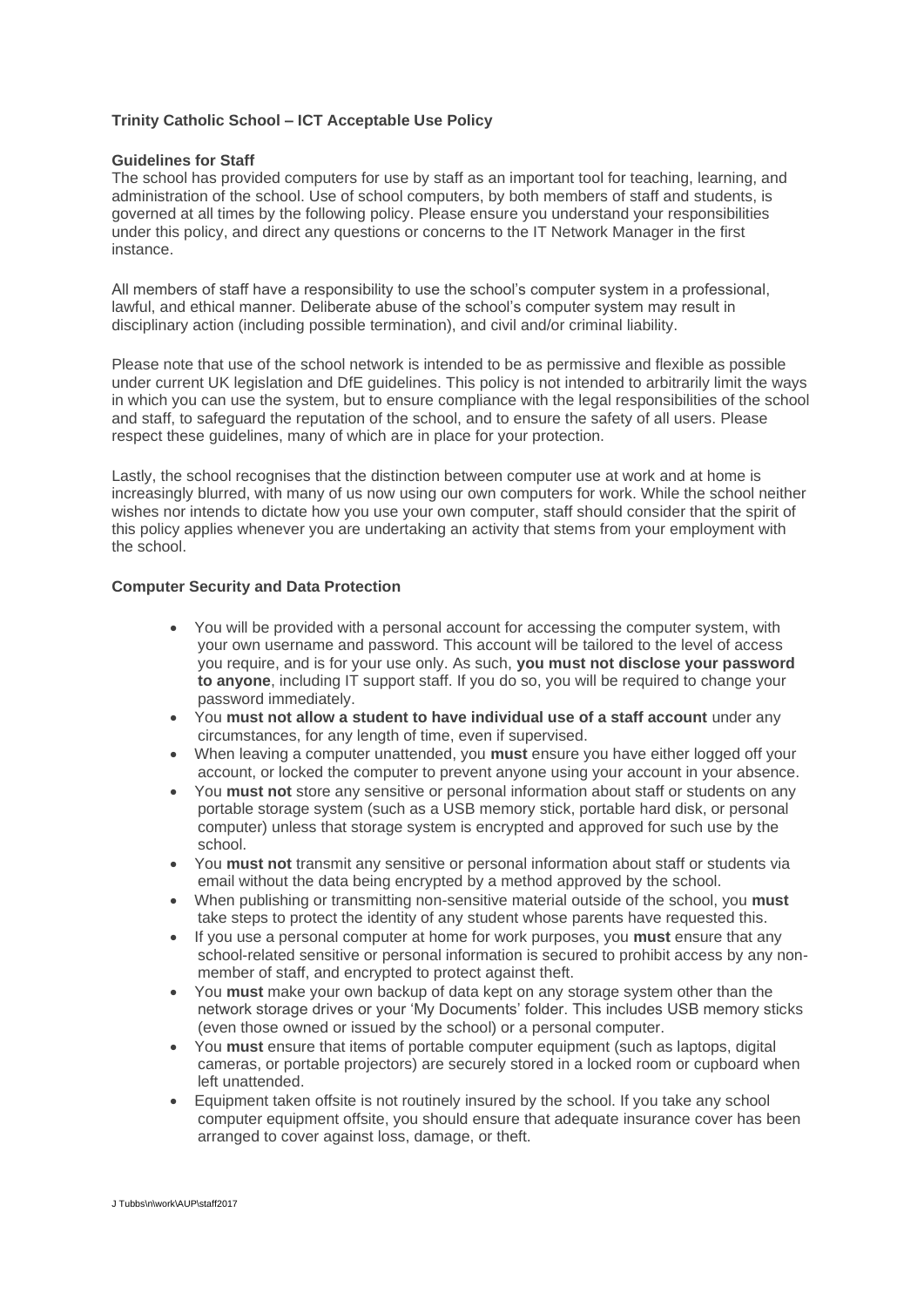# **Trinity Catholic School – ICT Acceptable Use Policy**

#### **Guidelines for Staff**

The school has provided computers for use by staff as an important tool for teaching, learning, and administration of the school. Use of school computers, by both members of staff and students, is governed at all times by the following policy. Please ensure you understand your responsibilities under this policy, and direct any questions or concerns to the IT Network Manager in the first instance.

All members of staff have a responsibility to use the school's computer system in a professional, lawful, and ethical manner. Deliberate abuse of the school's computer system may result in disciplinary action (including possible termination), and civil and/or criminal liability.

Please note that use of the school network is intended to be as permissive and flexible as possible under current UK legislation and DfE guidelines. This policy is not intended to arbitrarily limit the ways in which you can use the system, but to ensure compliance with the legal responsibilities of the school and staff, to safeguard the reputation of the school, and to ensure the safety of all users. Please respect these guidelines, many of which are in place for your protection.

Lastly, the school recognises that the distinction between computer use at work and at home is increasingly blurred, with many of us now using our own computers for work. While the school neither wishes nor intends to dictate how you use your own computer, staff should consider that the spirit of this policy applies whenever you are undertaking an activity that stems from your employment with the school.

#### **Computer Security and Data Protection**

- You will be provided with a personal account for accessing the computer system, with your own username and password. This account will be tailored to the level of access you require, and is for your use only. As such, **you must not disclose your password to anyone**, including IT support staff. If you do so, you will be required to change your password immediately.
- You **must not allow a student to have individual use of a staff account** under any circumstances, for any length of time, even if supervised.
- When leaving a computer unattended, you **must** ensure you have either logged off your account, or locked the computer to prevent anyone using your account in your absence.
- You **must not** store any sensitive or personal information about staff or students on any portable storage system (such as a USB memory stick, portable hard disk, or personal computer) unless that storage system is encrypted and approved for such use by the school.
- You **must not** transmit any sensitive or personal information about staff or students via email without the data being encrypted by a method approved by the school.
- When publishing or transmitting non-sensitive material outside of the school, you **must** take steps to protect the identity of any student whose parents have requested this.
- If you use a personal computer at home for work purposes, you **must** ensure that any school-related sensitive or personal information is secured to prohibit access by any nonmember of staff, and encrypted to protect against theft.
- You **must** make your own backup of data kept on any storage system other than the network storage drives or your 'My Documents' folder. This includes USB memory sticks (even those owned or issued by the school) or a personal computer.
- You **must** ensure that items of portable computer equipment (such as laptops, digital cameras, or portable projectors) are securely stored in a locked room or cupboard when left unattended.
- Equipment taken offsite is not routinely insured by the school. If you take any school computer equipment offsite, you should ensure that adequate insurance cover has been arranged to cover against loss, damage, or theft.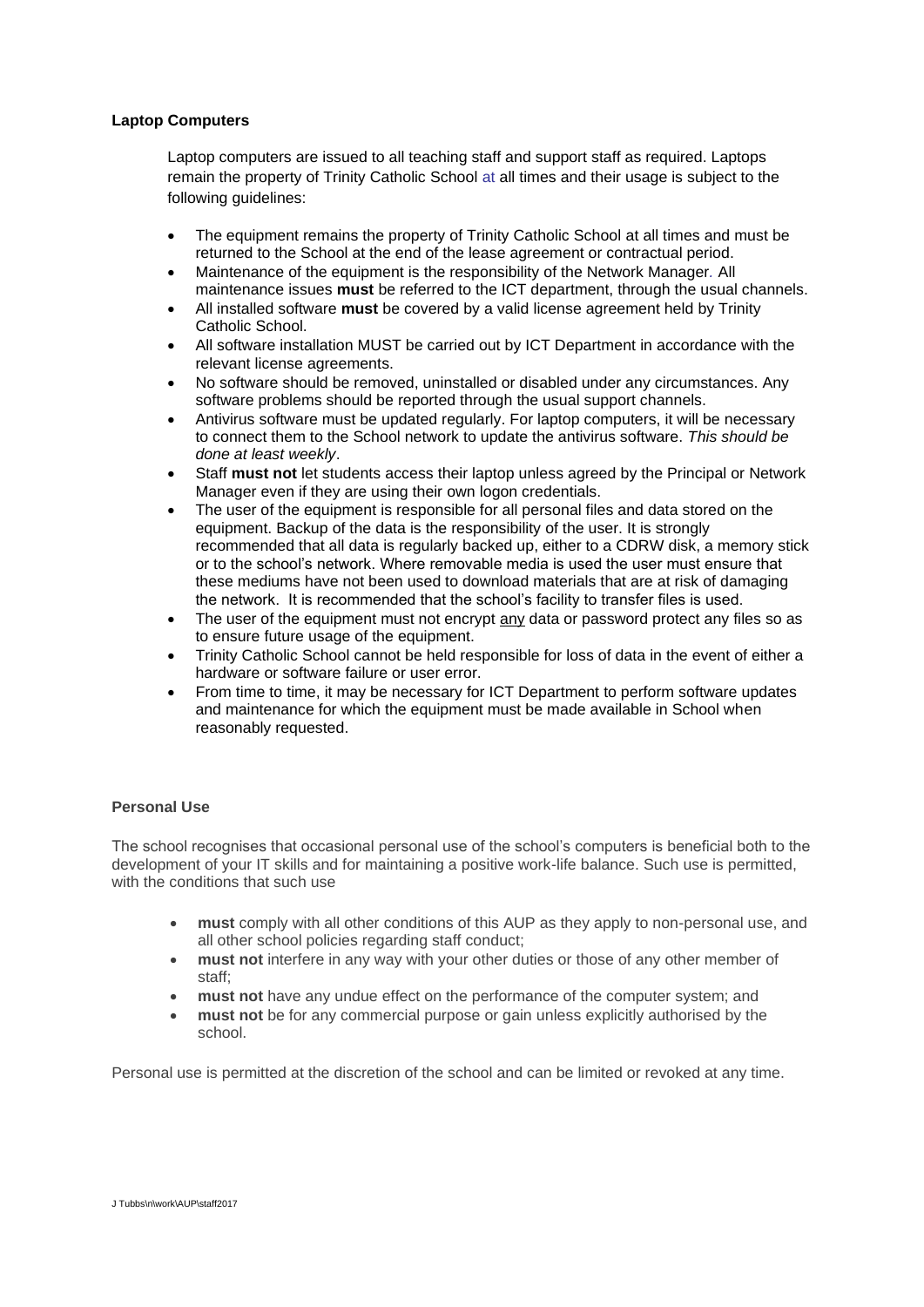### **Laptop Computers**

Laptop computers are issued to all teaching staff and support staff as required. Laptops remain the property of Trinity Catholic School at all times and their usage is subject to the following guidelines:

- The equipment remains the property of Trinity Catholic School at all times and must be returned to the School at the end of the lease agreement or contractual period.
- Maintenance of the equipment is the responsibility of the Network Manager*.* All maintenance issues **must** be referred to the ICT department, through the usual channels.
- All installed software **must** be covered by a valid license agreement held by Trinity Catholic School.
- All software installation MUST be carried out by ICT Department in accordance with the relevant license agreements.
- No software should be removed, uninstalled or disabled under any circumstances. Any software problems should be reported through the usual support channels.
- Antivirus software must be updated regularly. For laptop computers, it will be necessary to connect them to the School network to update the antivirus software. *This should be done at least weekly*.
- Staff **must not** let students access their laptop unless agreed by the Principal or Network Manager even if they are using their own logon credentials.
- The user of the equipment is responsible for all personal files and data stored on the equipment. Backup of the data is the responsibility of the user. It is strongly recommended that all data is regularly backed up, either to a CDRW disk, a memory stick or to the school's network. Where removable media is used the user must ensure that these mediums have not been used to download materials that are at risk of damaging the network. It is recommended that the school's facility to transfer files is used.
- The user of the equipment must not encrypt any data or password protect any files so as to ensure future usage of the equipment.
- Trinity Catholic School cannot be held responsible for loss of data in the event of either a hardware or software failure or user error.
- From time to time, it may be necessary for ICT Department to perform software updates and maintenance for which the equipment must be made available in School when reasonably requested.

# **Personal Use**

The school recognises that occasional personal use of the school's computers is beneficial both to the development of your IT skills and for maintaining a positive work-life balance. Such use is permitted, with the conditions that such use

- **must** comply with all other conditions of this AUP as they apply to non-personal use, and all other school policies regarding staff conduct;
- **must not** interfere in any way with your other duties or those of any other member of staff;
- **must not** have any undue effect on the performance of the computer system; and
- **must not** be for any commercial purpose or gain unless explicitly authorised by the school.

Personal use is permitted at the discretion of the school and can be limited or revoked at any time.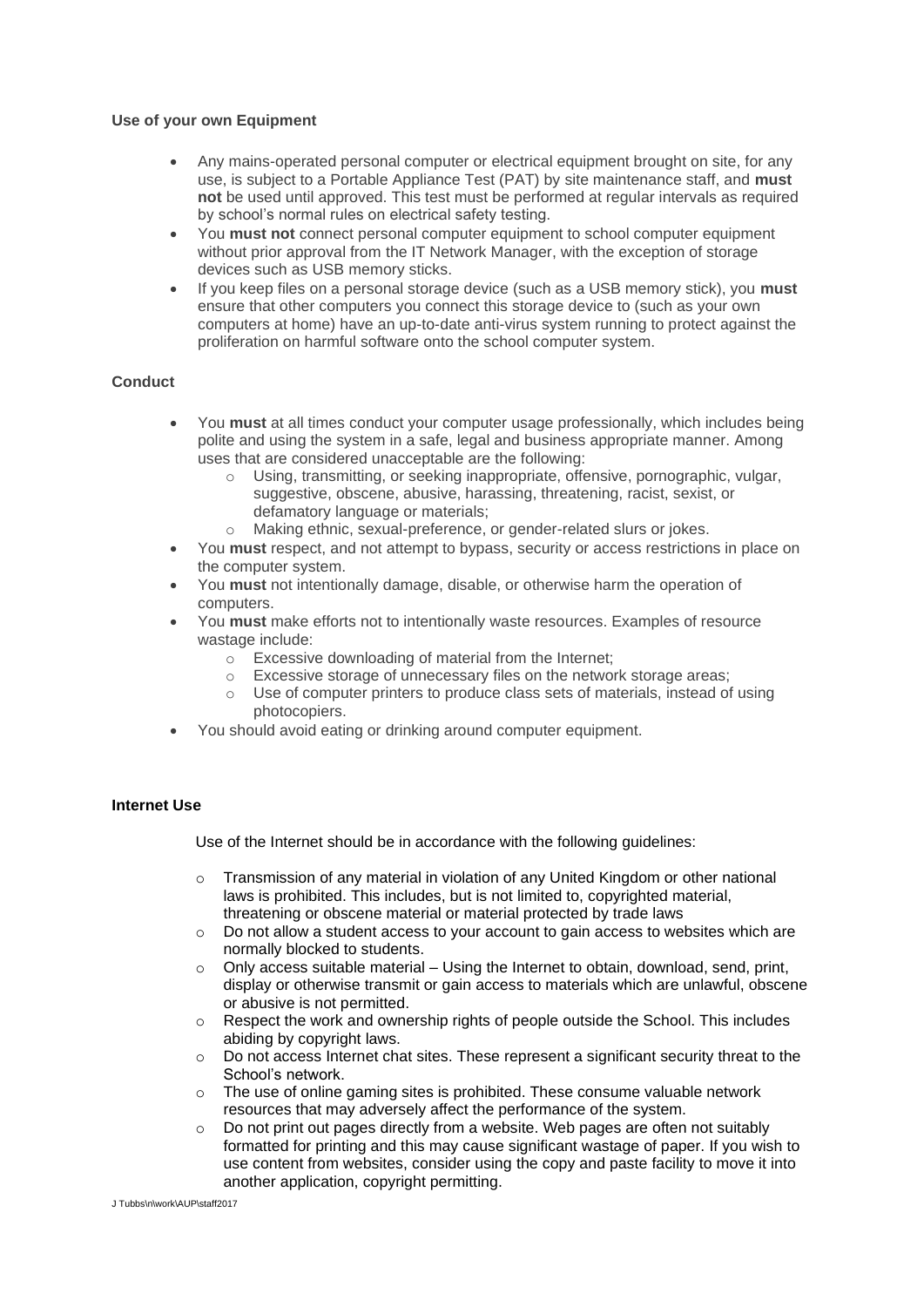### **Use of your own Equipment**

- Any mains-operated personal computer or electrical equipment brought on site, for any use, is subject to a Portable Appliance Test (PAT) by site maintenance staff, and **must not** be used until approved. This test must be performed at regular intervals as required by school's normal rules on electrical safety testing.
- You **must not** connect personal computer equipment to school computer equipment without prior approval from the IT Network Manager, with the exception of storage devices such as USB memory sticks.
- If you keep files on a personal storage device (such as a USB memory stick), you **must** ensure that other computers you connect this storage device to (such as your own computers at home) have an up-to-date anti-virus system running to protect against the proliferation on harmful software onto the school computer system.

# **Conduct**

- You **must** at all times conduct your computer usage professionally, which includes being polite and using the system in a safe, legal and business appropriate manner. Among uses that are considered unacceptable are the following:
	- o Using, transmitting, or seeking inappropriate, offensive, pornographic, vulgar, suggestive, obscene, abusive, harassing, threatening, racist, sexist, or defamatory language or materials;
	- o Making ethnic, sexual-preference, or gender-related slurs or jokes.
- You **must** respect, and not attempt to bypass, security or access restrictions in place on the computer system.
- You **must** not intentionally damage, disable, or otherwise harm the operation of computers.
- You **must** make efforts not to intentionally waste resources. Examples of resource wastage include:
	- o Excessive downloading of material from the Internet;
	- $\circ$  Excessive storage of unnecessary files on the network storage areas;
	- o Use of computer printers to produce class sets of materials, instead of using photocopiers.
- You should avoid eating or drinking around computer equipment.

#### **Internet Use**

Use of the Internet should be in accordance with the following guidelines:

- $\circ$  Transmission of any material in violation of any United Kingdom or other national laws is prohibited. This includes, but is not limited to, copyrighted material, threatening or obscene material or material protected by trade laws
- $\circ$  Do not allow a student access to your account to gain access to websites which are normally blocked to students.
- $\circ$  Only access suitable material Using the Internet to obtain, download, send, print, display or otherwise transmit or gain access to materials which are unlawful, obscene or abusive is not permitted.
- o Respect the work and ownership rights of people outside the School. This includes abiding by copyright laws.
- o Do not access Internet chat sites. These represent a significant security threat to the School's network.
- o The use of online gaming sites is prohibited. These consume valuable network resources that may adversely affect the performance of the system.
- o Do not print out pages directly from a website. Web pages are often not suitably formatted for printing and this may cause significant wastage of paper. If you wish to use content from websites, consider using the copy and paste facility to move it into another application, copyright permitting.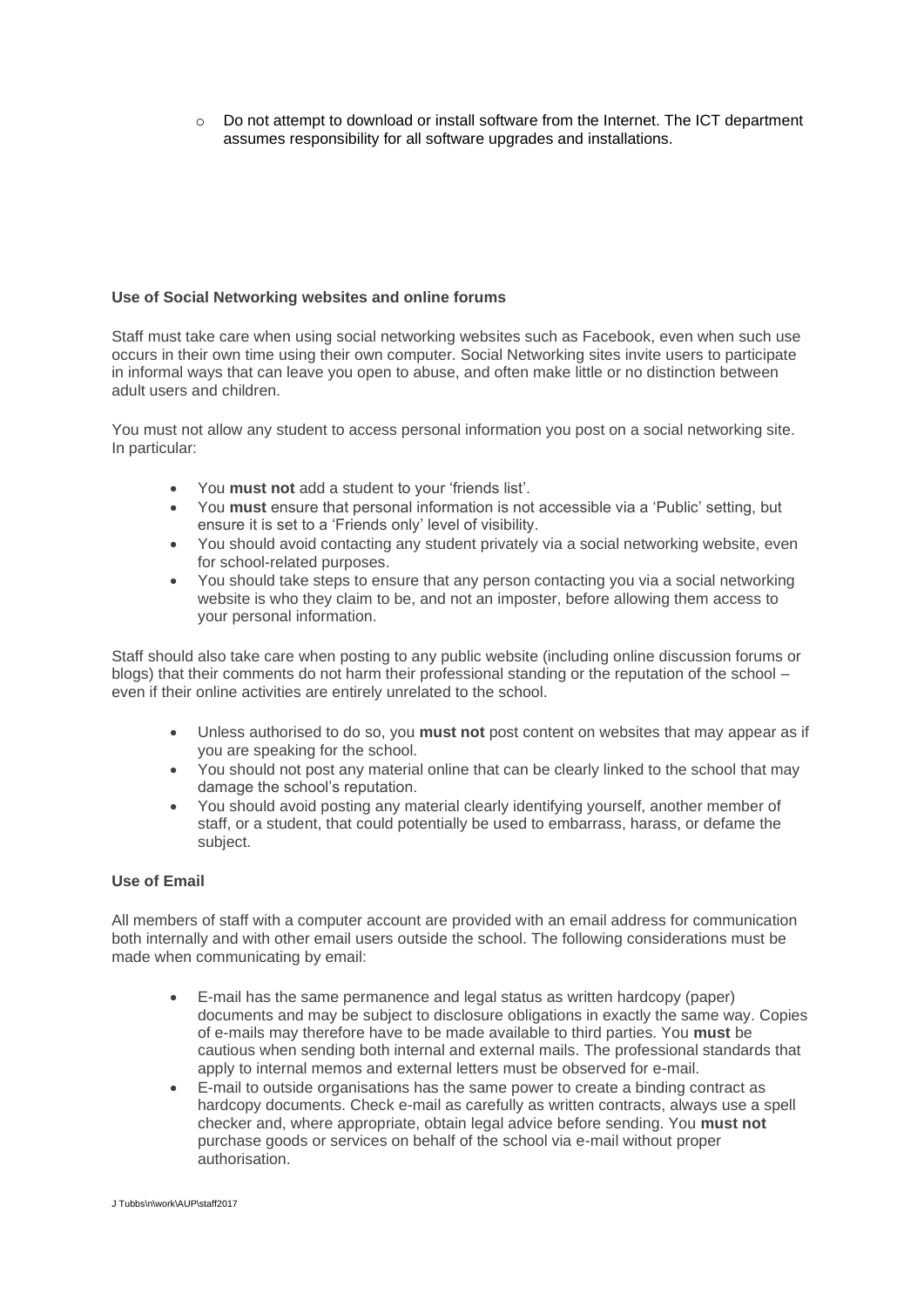$\circ$  Do not attempt to download or install software from the Internet. The ICT department assumes responsibility for all software upgrades and installations.

### **Use of Social Networking websites and online forums**

Staff must take care when using social networking websites such as Facebook, even when such use occurs in their own time using their own computer. Social Networking sites invite users to participate in informal ways that can leave you open to abuse, and often make little or no distinction between adult users and children.

You must not allow any student to access personal information you post on a social networking site. In particular:

- You **must not** add a student to your 'friends list'.
- You **must** ensure that personal information is not accessible via a 'Public' setting, but ensure it is set to a 'Friends only' level of visibility.
- You should avoid contacting any student privately via a social networking website, even for school-related purposes.
- You should take steps to ensure that any person contacting you via a social networking website is who they claim to be, and not an imposter, before allowing them access to your personal information.

Staff should also take care when posting to any public website (including online discussion forums or blogs) that their comments do not harm their professional standing or the reputation of the school – even if their online activities are entirely unrelated to the school.

- Unless authorised to do so, you **must not** post content on websites that may appear as if you are speaking for the school.
- You should not post any material online that can be clearly linked to the school that may damage the school's reputation.
- You should avoid posting any material clearly identifying yourself, another member of staff, or a student, that could potentially be used to embarrass, harass, or defame the subject.

#### **Use of Email**

All members of staff with a computer account are provided with an email address for communication both internally and with other email users outside the school. The following considerations must be made when communicating by email:

- E-mail has the same permanence and legal status as written hardcopy (paper) documents and may be subject to disclosure obligations in exactly the same way. Copies of e-mails may therefore have to be made available to third parties. You **must** be cautious when sending both internal and external mails. The professional standards that apply to internal memos and external letters must be observed for e-mail.
- E-mail to outside organisations has the same power to create a binding contract as hardcopy documents. Check e-mail as carefully as written contracts, always use a spell checker and, where appropriate, obtain legal advice before sending. You **must not** purchase goods or services on behalf of the school via e-mail without proper authorisation.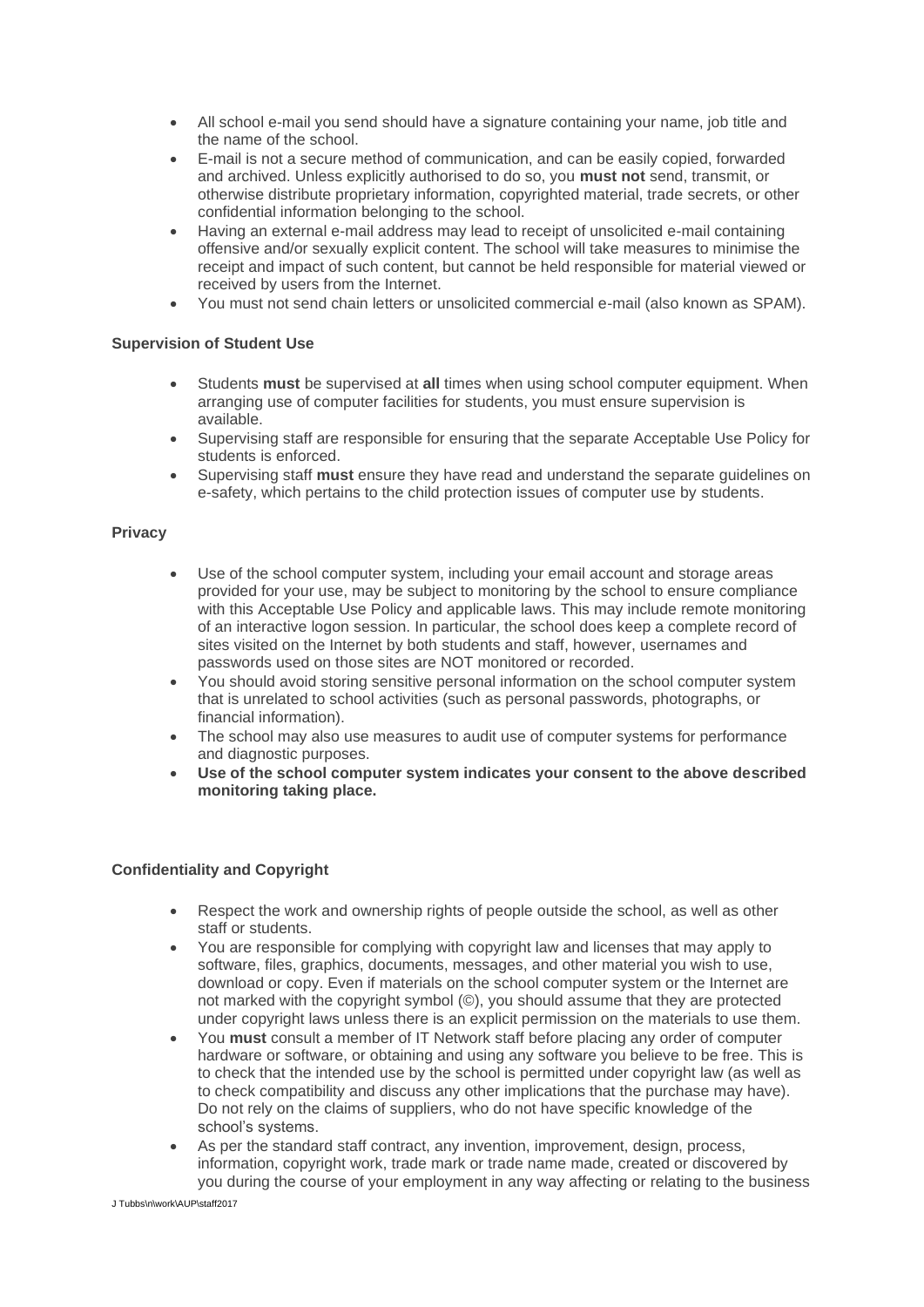- All school e-mail you send should have a signature containing your name, job title and the name of the school.
- E-mail is not a secure method of communication, and can be easily copied, forwarded and archived. Unless explicitly authorised to do so, you **must not** send, transmit, or otherwise distribute proprietary information, copyrighted material, trade secrets, or other confidential information belonging to the school.
- Having an external e-mail address may lead to receipt of unsolicited e-mail containing offensive and/or sexually explicit content. The school will take measures to minimise the receipt and impact of such content, but cannot be held responsible for material viewed or received by users from the Internet.
- You must not send chain letters or unsolicited commercial e-mail (also known as SPAM).

### **Supervision of Student Use**

- Students **must** be supervised at **all** times when using school computer equipment. When arranging use of computer facilities for students, you must ensure supervision is available.
- Supervising staff are responsible for ensuring that the separate Acceptable Use Policy for students is enforced.
- Supervising staff **must** ensure they have read and understand the separate guidelines on e-safety, which pertains to the child protection issues of computer use by students.

#### **Privacy**

- Use of the school computer system, including your email account and storage areas provided for your use, may be subject to monitoring by the school to ensure compliance with this Acceptable Use Policy and applicable laws. This may include remote monitoring of an interactive logon session. In particular, the school does keep a complete record of sites visited on the Internet by both students and staff, however, usernames and passwords used on those sites are NOT monitored or recorded.
- You should avoid storing sensitive personal information on the school computer system that is unrelated to school activities (such as personal passwords, photographs, or financial information).
- The school may also use measures to audit use of computer systems for performance and diagnostic purposes.
- **Use of the school computer system indicates your consent to the above described monitoring taking place.**

# **Confidentiality and Copyright**

- Respect the work and ownership rights of people outside the school, as well as other staff or students.
- You are responsible for complying with copyright law and licenses that may apply to software, files, graphics, documents, messages, and other material you wish to use, download or copy. Even if materials on the school computer system or the Internet are not marked with the copyright symbol (©), you should assume that they are protected under copyright laws unless there is an explicit permission on the materials to use them.
- You **must** consult a member of IT Network staff before placing any order of computer hardware or software, or obtaining and using any software you believe to be free. This is to check that the intended use by the school is permitted under copyright law (as well as to check compatibility and discuss any other implications that the purchase may have). Do not rely on the claims of suppliers, who do not have specific knowledge of the school's systems.
- As per the standard staff contract, any invention, improvement, design, process, information, copyright work, trade mark or trade name made, created or discovered by you during the course of your employment in any way affecting or relating to the business